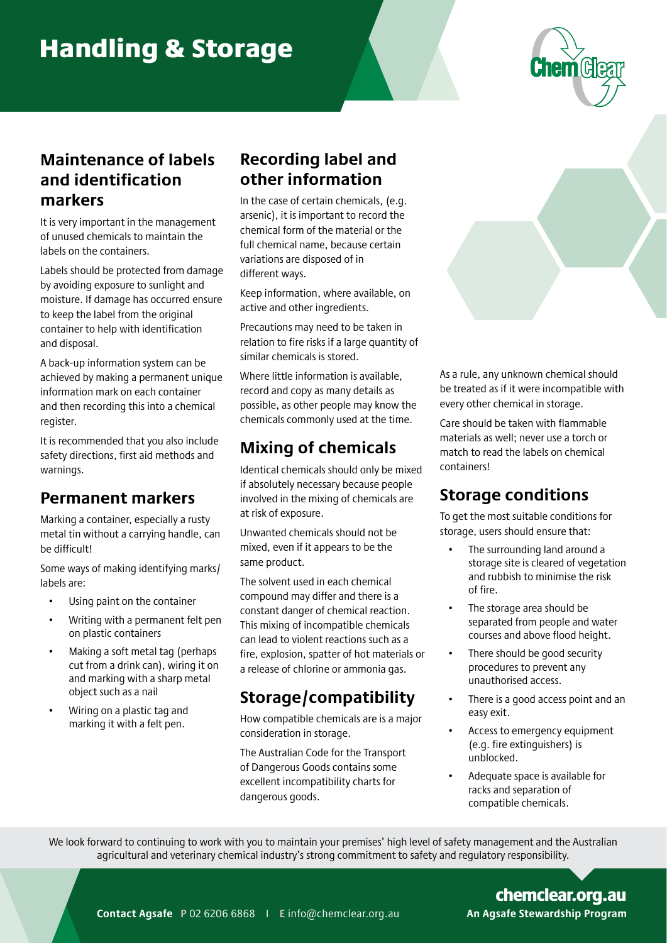# Handling & Storage



#### **Maintenance of labels and identification markers**

It is very important in the management of unused chemicals to maintain the labels on the containers.

Labels should be protected from damage by avoiding exposure to sunlight and moisture. If damage has occurred ensure to keep the label from the original container to help with identification and disposal.

A back-up information system can be achieved by making a permanent unique information mark on each container and then recording this into a chemical register.

It is recommended that you also include safety directions, first aid methods and warnings.

#### **Permanent markers**

Marking a container, especially a rusty metal tin without a carrying handle, can be difficult!

Some ways of making identifying marks/ labels are:

- Using paint on the container
- Writing with a permanent felt pen on plastic containers
- Making a soft metal tag (perhaps cut from a drink can), wiring it on and marking with a sharp metal object such as a nail
- Wiring on a plastic tag and marking it with a felt pen.

#### **Recording label and other information**

In the case of certain chemicals, (e.g. arsenic), it is important to record the chemical form of the material or the full chemical name, because certain variations are disposed of in different ways.

Keep information, where available, on active and other ingredients.

Precautions may need to be taken in relation to fire risks if a large quantity of similar chemicals is stored.

Where little information is available, record and copy as many details as possible, as other people may know the chemicals commonly used at the time.

#### **Mixing of chemicals**

Identical chemicals should only be mixed if absolutely necessary because people involved in the mixing of chemicals are at risk of exposure.

Unwanted chemicals should not be mixed, even if it appears to be the same product.

The solvent used in each chemical compound may differ and there is a constant danger of chemical reaction. This mixing of incompatible chemicals can lead to violent reactions such as a fire, explosion, spatter of hot materials or a release of chlorine or ammonia gas.

#### **Storage/compatibility**

How compatible chemicals are is a major consideration in storage.

The Australian Code for the Transport of Dangerous Goods contains some excellent incompatibility charts for dangerous goods.

As a rule, any unknown chemical should be treated as if it were incompatible with every other chemical in storage.

Care should be taken with flammable materials as well; never use a torch or match to read the labels on chemical containers!

### **Storage conditions**

To get the most suitable conditions for storage, users should ensure that:

- The surrounding land around a storage site is cleared of vegetation and rubbish to minimise the risk of fire.
- The storage area should be separated from people and water courses and above flood height.
- There should be good security procedures to prevent any unauthorised access.
- There is a good access point and an easy exit.
- Access to emergency equipment (e.g. fire extinguishers) is unblocked.
- Adequate space is available for racks and separation of compatible chemicals.

We look forward to continuing to work with you to maintain your premises' high level of safety management and the Australian agricultural and veterinary chemical industry's strong commitment to safety and regulatory responsibility.

An Agsafe Stewardship Program chemclear.org.au